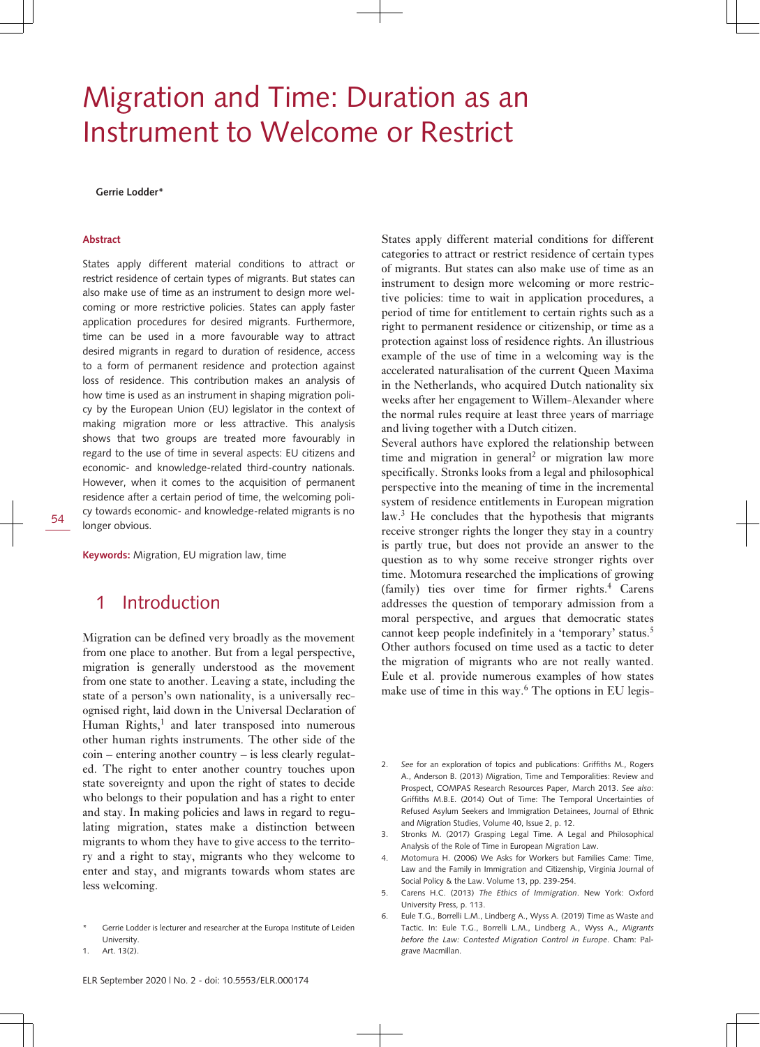# Migration and Time: Duration as an Instrument to Welcome or Restrict

**Gerrie Lodder\***

#### **Abstract**

States apply different material conditions to attract or restrict residence of certain types of migrants. But states can also make use of time as an instrument to design more welcoming or more restrictive policies. States can apply faster application procedures for desired migrants. Furthermore, time can be used in a more favourable way to attract desired migrants in regard to duration of residence, access to a form of permanent residence and protection against loss of residence. This contribution makes an analysis of how time is used as an instrument in shaping migration policy by the European Union (EU) legislator in the context of making migration more or less attractive. This analysis shows that two groups are treated more favourably in regard to the use of time in several aspects: EU citizens and economic- and knowledge-related third-country nationals. However, when it comes to the acquisition of permanent residence after a certain period of time, the welcoming policy towards economic- and knowledge-related migrants is no longer obvious.

**Keywords:** Migration, EU migration law, time

### 1 Introduction

Migration can be defined very broadly as the movement from one place to another. But from a legal perspective, migration is generally understood as the movement from one state to another. Leaving a state, including the state of a person's own nationality, is a universally recognised right, laid down in the Universal Declaration of Human Rights,<sup>1</sup> and later transposed into numerous other human rights instruments. The other side of the coin – entering another country – is less clearly regulated. The right to enter another country touches upon state sovereignty and upon the right of states to decide who belongs to their population and has a right to enter and stay. In making policies and laws in regard to regulating migration, states make a distinction between migrants to whom they have to give access to the territory and a right to stay, migrants who they welcome to enter and stay, and migrants towards whom states are less welcoming.

States apply different material conditions for different categories to attract or restrict residence of certain types of migrants. But states can also make use of time as an instrument to design more welcoming or more restrictive policies: time to wait in application procedures, a period of time for entitlement to certain rights such as a right to permanent residence or citizenship, or time as a protection against loss of residence rights. An illustrious example of the use of time in a welcoming way is the accelerated naturalisation of the current Queen Maxima in the Netherlands, who acquired Dutch nationality six weeks after her engagement to Willem-Alexander where the normal rules require at least three years of marriage and living together with a Dutch citizen.

Several authors have explored the relationship between time and migration in general<sup>2</sup> or migration law more specifically. Stronks looks from a legal and philosophical perspective into the meaning of time in the incremental system of residence entitlements in European migration law.<sup>3</sup> He concludes that the hypothesis that migrants receive stronger rights the longer they stay in a country is partly true, but does not provide an answer to the question as to why some receive stronger rights over time. Motomura researched the implications of growing (family) ties over time for firmer rights.<sup>4</sup> Carens addresses the question of temporary admission from a moral perspective, and argues that democratic states cannot keep people indefinitely in a 'temporary' status.<sup>5</sup> Other authors focused on time used as a tactic to deter the migration of migrants who are not really wanted. Eule et al. provide numerous examples of how states make use of time in this way.<sup>6</sup> The options in EU legis-

- 2. *See* for an exploration of topics and publications: Griffiths M., Rogers A., Anderson B. (2013) Migration, Time and Temporalities: Review and Prospect, COMPAS Research Resources Paper, March 2013. *See also*: Griffiths M.B.E. (2014) Out of Time: The Temporal Uncertainties of Refused Asylum Seekers and Immigration Detainees, Journal of Ethnic and Migration Studies, Volume 40, Issue 2, p. 12.
- 3. Stronks M. (2017) Grasping Legal Time. A Legal and Philosophical Analysis of the Role of Time in European Migration Law.
- 4. Motomura H. (2006) We Asks for Workers but Families Came: Time, Law and the Family in Immigration and Citizenship, Virginia Journal of Social Policy & the Law. Volume 13, pp. 239-254.
- 5. Carens H.C. (2013) *The Ethics of Immigration*. New York: Oxford University Press, p. 113.
- 6. Eule T.G., Borrelli L.M., Lindberg A., Wyss A. (2019) Time as Waste and Tactic. In: Eule T.G., Borrelli L.M., Lindberg A., Wyss A., *Migrants before the Law: Contested Migration Control in Europe*. Cham: Palgrave Macmillan.

Gerrie Lodder is lecturer and researcher at the Europa Institute of Leiden University.

<sup>1.</sup> Art. 13(2).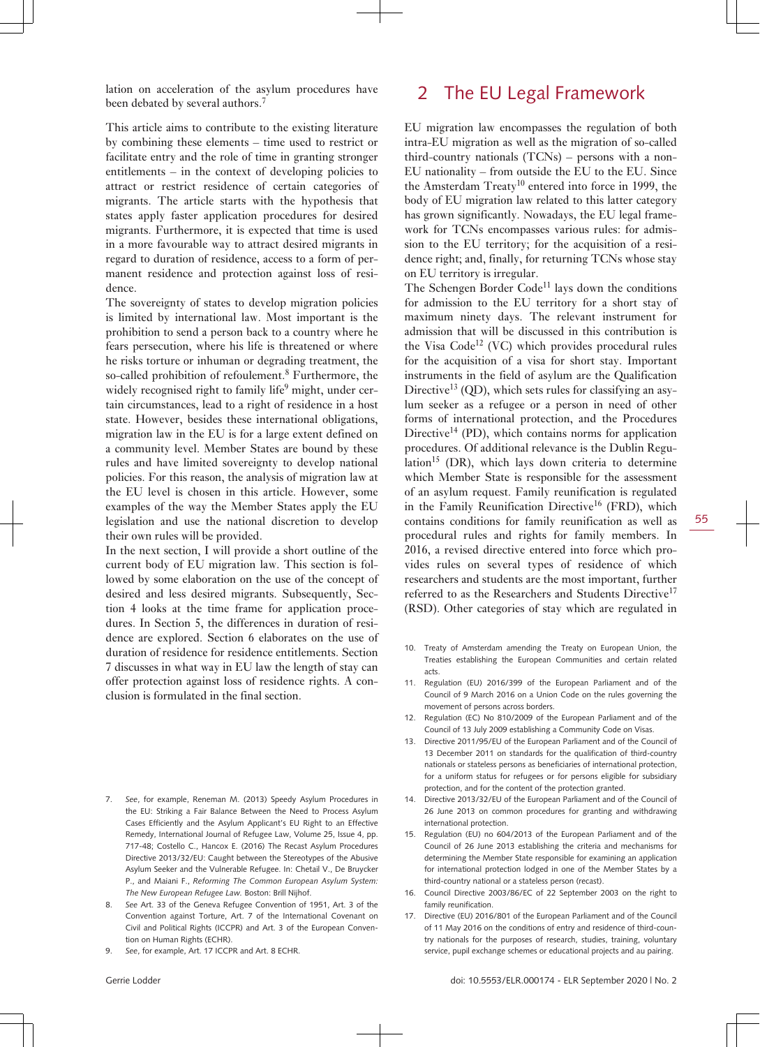lation on acceleration of the asylum procedures have been debated by several authors.<sup>7</sup>

This article aims to contribute to the existing literature by combining these elements – time used to restrict or facilitate entry and the role of time in granting stronger entitlements – in the context of developing policies to attract or restrict residence of certain categories of migrants. The article starts with the hypothesis that states apply faster application procedures for desired migrants. Furthermore, it is expected that time is used in a more favourable way to attract desired migrants in regard to duration of residence, access to a form of permanent residence and protection against loss of residence.

The sovereignty of states to develop migration policies is limited by international law. Most important is the prohibition to send a person back to a country where he fears persecution, where his life is threatened or where he risks torture or inhuman or degrading treatment, the so-called prohibition of refoulement.<sup>8</sup> Furthermore, the widely recognised right to family life $9$  might, under certain circumstances, lead to a right of residence in a host state. However, besides these international obligations, migration law in the EU is for a large extent defined on a community level. Member States are bound by these rules and have limited sovereignty to develop national policies. For this reason, the analysis of migration law at the EU level is chosen in this article. However, some examples of the way the Member States apply the EU legislation and use the national discretion to develop their own rules will be provided.

In the next section, I will provide a short outline of the current body of EU migration law. This section is followed by some elaboration on the use of the concept of desired and less desired migrants. Subsequently, Section 4 looks at the time frame for application procedures. In Section 5, the differences in duration of residence are explored. Section 6 elaborates on the use of duration of residence for residence entitlements. Section 7 discusses in what way in EU law the length of stay can offer protection against loss of residence rights. A conclusion is formulated in the final section.

- 7. *See*, for example, Reneman M. (2013) Speedy Asylum Procedures in the EU: Striking a Fair Balance Between the Need to Process Asylum Cases Efficiently and the Asylum Applicant's EU Right to an Effective Remedy, International Journal of Refugee Law, Volume 25, Issue 4, pp. 717-48; Costello C., Hancox E. (2016) The Recast Asylum Procedures Directive 2013/32/EU: Caught between the Stereotypes of the Abusive Asylum Seeker and the Vulnerable Refugee. In: Chetail V., De Bruycker P., and Maiani F., *Reforming The Common European Asylum System: The New European Refugee Law.* Boston: Brill Nijhof.
- 8. *See* Art. 33 of the Geneva Refugee Convention of 1951, Art. 3 of the Convention against Torture, Art. 7 of the International Covenant on Civil and Political Rights (ICCPR) and Art. 3 of the European Convention on Human Rights (ECHR).
- 9. *See*, for example, Art. 17 ICCPR and Art. 8 ECHR.

EU migration law encompasses the regulation of both intra-EU migration as well as the migration of so-called third-country nationals (TCNs) – persons with a non-EU nationality – from outside the EU to the EU. Since the Amsterdam Treaty<sup>10</sup> entered into force in 1999, the body of EU migration law related to this latter category has grown significantly. Nowadays, the EU legal framework for TCNs encompasses various rules: for admission to the EU territory; for the acquisition of a residence right; and, finally, for returning TCNs whose stay on EU territory is irregular.

The Schengen Border  $Code<sup>11</sup>$  lays down the conditions for admission to the EU territory for a short stay of maximum ninety days. The relevant instrument for admission that will be discussed in this contribution is the Visa  $Code^{12}$  (VC) which provides procedural rules for the acquisition of a visa for short stay. Important instruments in the field of asylum are the Qualification Directive<sup>13</sup> (QD), which sets rules for classifying an asylum seeker as a refugee or a person in need of other forms of international protection, and the Procedures Directive<sup>14</sup> (PD), which contains norms for application procedures. Of additional relevance is the Dublin Regulation<sup>15</sup> (DR), which lays down criteria to determine which Member State is responsible for the assessment of an asylum request. Family reunification is regulated in the Family Reunification Directive<sup>16</sup> (FRD), which contains conditions for family reunification as well as procedural rules and rights for family members. In 2016, a revised directive entered into force which provides rules on several types of residence of which researchers and students are the most important, further referred to as the Researchers and Students Directive<sup>17</sup> (RSD). Other categories of stay which are regulated in

- 10. Treaty of Amsterdam amending the Treaty on European Union, the Treaties establishing the European Communities and certain related acts.
- 11. Regulation (EU) 2016/399 of the European Parliament and of the Council of 9 March 2016 on a Union Code on the rules governing the movement of persons across borders.
- 12. Regulation (EC) No 810/2009 of the European Parliament and of the Council of 13 July 2009 establishing a Community Code on Visas.
- 13. Directive 2011/95/EU of the European Parliament and of the Council of 13 December 2011 on standards for the qualification of third-country nationals or stateless persons as beneficiaries of international protection, for a uniform status for refugees or for persons eligible for subsidiary protection, and for the content of the protection granted.
- 14. Directive 2013/32/EU of the European Parliament and of the Council of 26 June 2013 on common procedures for granting and withdrawing international protection.
- 15. Regulation (EU) no 604/2013 of the European Parliament and of the Council of 26 June 2013 establishing the criteria and mechanisms for determining the Member State responsible for examining an application for international protection lodged in one of the Member States by a third-country national or a stateless person (recast).
- 16. Council Directive 2003/86/EC of 22 September 2003 on the right to family reunification.
- 17. Directive (EU) 2016/801 of the European Parliament and of the Council of 11 May 2016 on the conditions of entry and residence of third-country nationals for the purposes of research, studies, training, voluntary service, pupil exchange schemes or educational projects and au pairing.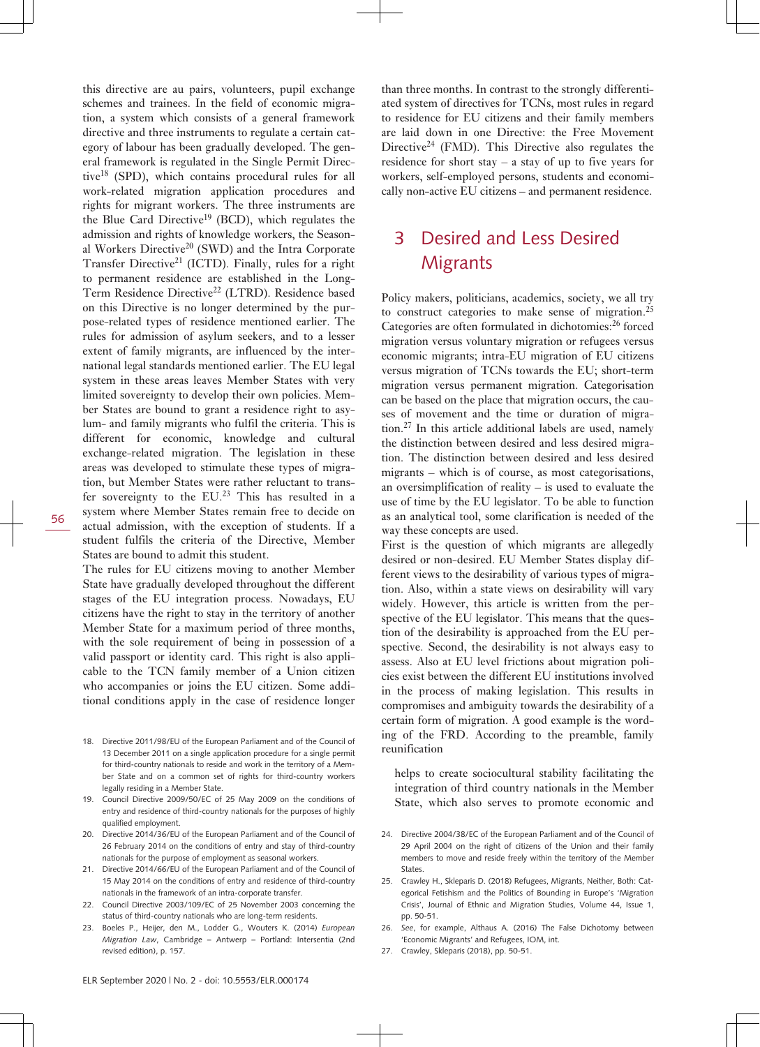this directive are au pairs, volunteers, pupil exchange schemes and trainees. In the field of economic migration, a system which consists of a general framework directive and three instruments to regulate a certain category of labour has been gradually developed. The general framework is regulated in the Single Permit Directive<sup>18</sup> (SPD), which contains procedural rules for all work-related migration application procedures and rights for migrant workers. The three instruments are the Blue Card Directive<sup>19</sup> (BCD), which regulates the admission and rights of knowledge workers, the Seasonal Workers Directive<sup>20</sup> (SWD) and the Intra Corporate Transfer Directive<sup>21</sup> (ICTD). Finally, rules for a right to permanent residence are established in the Long-Term Residence Directive<sup>22</sup> (LTRD). Residence based on this Directive is no longer determined by the purpose-related types of residence mentioned earlier. The rules for admission of asylum seekers, and to a lesser extent of family migrants, are influenced by the international legal standards mentioned earlier. The EU legal system in these areas leaves Member States with very limited sovereignty to develop their own policies. Member States are bound to grant a residence right to asylum- and family migrants who fulfil the criteria. This is different for economic, knowledge and cultural exchange-related migration. The legislation in these areas was developed to stimulate these types of migration, but Member States were rather reluctant to transfer sovereignty to the  $EU^{23}$  This has resulted in a system where Member States remain free to decide on actual admission, with the exception of students. If a student fulfils the criteria of the Directive, Member States are bound to admit this student.

The rules for EU citizens moving to another Member State have gradually developed throughout the different stages of the EU integration process. Nowadays, EU citizens have the right to stay in the territory of another Member State for a maximum period of three months, with the sole requirement of being in possession of a valid passport or identity card. This right is also applicable to the TCN family member of a Union citizen who accompanies or joins the EU citizen. Some additional conditions apply in the case of residence longer

- 18. Directive 2011/98/EU of the European Parliament and of the Council of 13 December 2011 on a single application procedure for a single permit for third-country nationals to reside and work in the territory of a Member State and on a common set of rights for third-country workers legally residing in a Member State.
- 19. Council Directive 2009/50/EC of 25 May 2009 on the conditions of entry and residence of third-country nationals for the purposes of highly qualified employment.
- 20. Directive 2014/36/EU of the European Parliament and of the Council of 26 February 2014 on the conditions of entry and stay of third-country nationals for the purpose of employment as seasonal workers.
- 21. Directive 2014/66/EU of the European Parliament and of the Council of 15 May 2014 on the conditions of entry and residence of third-country nationals in the framework of an intra-corporate transfer.
- 22. Council Directive 2003/109/EC of 25 November 2003 concerning the status of third-country nationals who are long-term residents.
- 23. Boeles P., Heijer, den M., Lodder G., Wouters K. (2014) *European Migration Law*, Cambridge – Antwerp – Portland: Intersentia (2nd revised edition), p. 157.

than three months. In contrast to the strongly differentiated system of directives for TCNs, most rules in regard to residence for EU citizens and their family members are laid down in one Directive: the Free Movement Directive<sup>24</sup> (FMD). This Directive also regulates the residence for short stay – a stay of up to five years for workers, self-employed persons, students and economically non-active EU citizens – and permanent residence.

## 3 Desired and Less Desired **Migrants**

Policy makers, politicians, academics, society, we all try to construct categories to make sense of migration.<sup>25</sup> Categories are often formulated in dichotomies:<sup>26</sup> forced migration versus voluntary migration or refugees versus economic migrants; intra-EU migration of EU citizens versus migration of TCNs towards the EU; short-term migration versus permanent migration. Categorisation can be based on the place that migration occurs, the causes of movement and the time or duration of migration.27 In this article additional labels are used, namely the distinction between desired and less desired migration. The distinction between desired and less desired migrants – which is of course, as most categorisations, an oversimplification of reality – is used to evaluate the use of time by the EU legislator. To be able to function as an analytical tool, some clarification is needed of the way these concepts are used.

First is the question of which migrants are allegedly desired or non-desired. EU Member States display different views to the desirability of various types of migration. Also, within a state views on desirability will vary widely. However, this article is written from the perspective of the EU legislator. This means that the question of the desirability is approached from the EU perspective. Second, the desirability is not always easy to assess. Also at EU level frictions about migration policies exist between the different EU institutions involved in the process of making legislation. This results in compromises and ambiguity towards the desirability of a certain form of migration. A good example is the wording of the FRD. According to the preamble, family reunification

helps to create sociocultural stability facilitating the integration of third country nationals in the Member State, which also serves to promote economic and

- 24. Directive 2004/38/EC of the European Parliament and of the Council of 29 April 2004 on the right of citizens of the Union and their family members to move and reside freely within the territory of the Member States.
- 25. Crawley H., Skleparis D. (2018) Refugees, Migrants, Neither, Both: Categorical Fetishism and the Politics of Bounding in Europe's 'Migration Crisis', Journal of Ethnic and Migration Studies, Volume 44, Issue 1, pp. 50-51.
- 26. *See*, for example, Althaus A. (2016) The False Dichotomy between 'Economic Migrants' and Refugees, IOM, int.
- 27. Crawley, Skleparis (2018), pp. 50-51.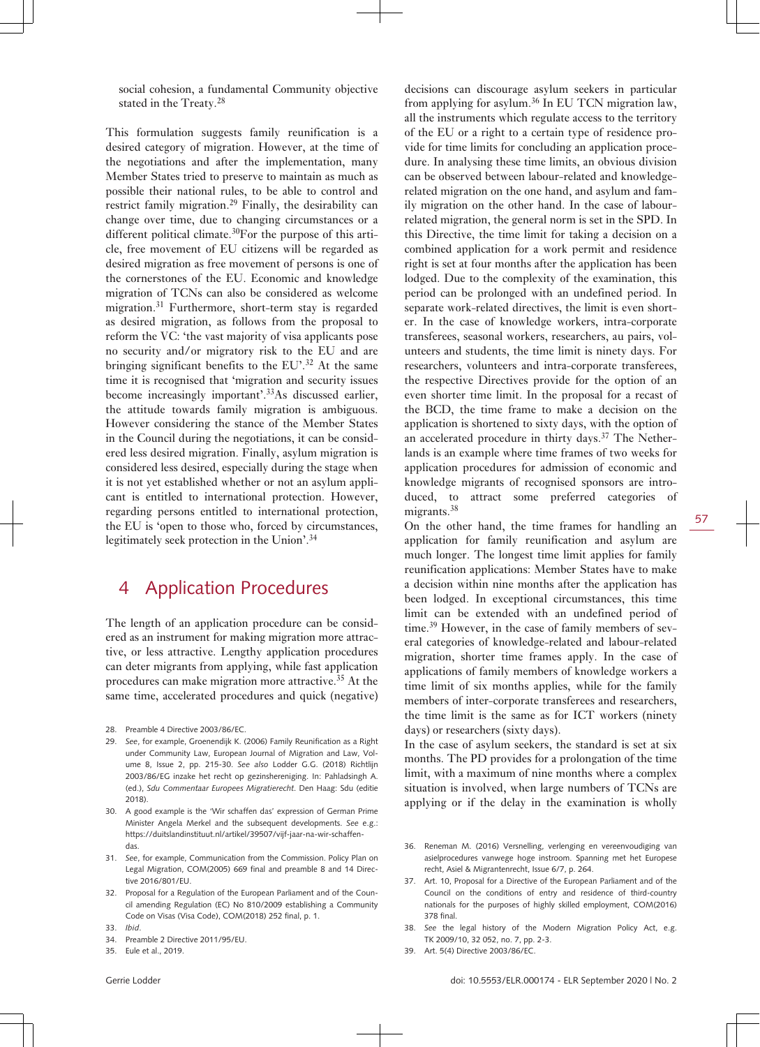social cohesion, a fundamental Community objective stated in the Treaty.<sup>28</sup>

This formulation suggests family reunification is a desired category of migration. However, at the time of the negotiations and after the implementation, many Member States tried to preserve to maintain as much as possible their national rules, to be able to control and restrict family migration.<sup>29</sup> Finally, the desirability can change over time, due to changing circumstances or a different political climate.<sup>30</sup>For the purpose of this article, free movement of EU citizens will be regarded as desired migration as free movement of persons is one of the cornerstones of the EU. Economic and knowledge migration of TCNs can also be considered as welcome migration.<sup>31</sup> Furthermore, short-term stay is regarded as desired migration, as follows from the proposal to reform the VC: 'the vast majority of visa applicants pose no security and/or migratory risk to the EU and are bringing significant benefits to the  $EU^3$ <sup>2</sup>. At the same time it is recognised that 'migration and security issues become increasingly important'.<sup>33</sup>As discussed earlier, the attitude towards family migration is ambiguous. However considering the stance of the Member States in the Council during the negotiations, it can be considered less desired migration. Finally, asylum migration is considered less desired, especially during the stage when it is not yet established whether or not an asylum applicant is entitled to international protection. However, regarding persons entitled to international protection, the EU is 'open to those who, forced by circumstances, legitimately seek protection in the Union'.<sup>34</sup>

### 4 Application Procedures

The length of an application procedure can be considered as an instrument for making migration more attractive, or less attractive. Lengthy application procedures can deter migrants from applying, while fast application procedures can make migration more attractive.35 At the same time, accelerated procedures and quick (negative)

- 29. *See*, for example, Groenendijk K. (2006) Family Reunification as a Right under Community Law, European Journal of Migration and Law, Volume 8, Issue 2, pp. 215-30. *See also* Lodder G.G. (2018) Richtlijn 2003/86/EG inzake het recht op gezinshereniging. In: Pahladsingh A. (ed.), *Sdu Commentaar Europees Migratierecht*. Den Haag: Sdu (editie 2018).
- 30. A good example is the 'Wir schaffen das' expression of German Prime Minister Angela Merkel and the subsequent developments. *See* e.g.: [https://duitslandinstituut.nl/artikel/39507/vijf-jaar-na-wir-schaffen](https://duitslandinstituut.nl/artikel/39507/vijf-jaar-na-wir-schaffen-das)[das](https://duitslandinstituut.nl/artikel/39507/vijf-jaar-na-wir-schaffen-das).
- 31. *See*, for example, Communication from the Commission. Policy Plan on Legal Migration, COM(2005) 669 final and preamble 8 and 14 Directive 2016/801/EU.
- 32. Proposal for a Regulation of the European Parliament and of the Council amending Regulation (EC) No 810/2009 establishing a Community Code on Visas (Visa Code), COM(2018) 252 final, p. 1.
- 33. *Ibid*.
- 34. Preamble 2 Directive 2011/95/EU.
- 35. Eule et al., 2019.

decisions can discourage asylum seekers in particular from applying for asylum.<sup>36</sup> In EU TCN migration law, all the instruments which regulate access to the territory of the EU or a right to a certain type of residence provide for time limits for concluding an application procedure. In analysing these time limits, an obvious division can be observed between labour-related and knowledgerelated migration on the one hand, and asylum and family migration on the other hand. In the case of labourrelated migration, the general norm is set in the SPD. In this Directive, the time limit for taking a decision on a combined application for a work permit and residence right is set at four months after the application has been lodged. Due to the complexity of the examination, this period can be prolonged with an undefined period. In separate work-related directives, the limit is even shorter. In the case of knowledge workers, intra-corporate transferees, seasonal workers, researchers, au pairs, volunteers and students, the time limit is ninety days. For researchers, volunteers and intra-corporate transferees, the respective Directives provide for the option of an even shorter time limit. In the proposal for a recast of the BCD, the time frame to make a decision on the application is shortened to sixty days, with the option of an accelerated procedure in thirty days.<sup>37</sup> The Netherlands is an example where time frames of two weeks for application procedures for admission of economic and knowledge migrants of recognised sponsors are introduced, to attract some preferred categories of migrants.<sup>38</sup>

On the other hand, the time frames for handling an application for family reunification and asylum are much longer. The longest time limit applies for family reunification applications: Member States have to make a decision within nine months after the application has been lodged. In exceptional circumstances, this time limit can be extended with an undefined period of time.39 However, in the case of family members of several categories of knowledge-related and labour-related migration, shorter time frames apply. In the case of applications of family members of knowledge workers a time limit of six months applies, while for the family members of inter-corporate transferees and researchers, the time limit is the same as for ICT workers (ninety days) or researchers (sixty days).

In the case of asylum seekers, the standard is set at six months. The PD provides for a prolongation of the time limit, with a maximum of nine months where a complex situation is involved, when large numbers of TCNs are applying or if the delay in the examination is wholly

- 36. Reneman M. (2016) Versnelling, verlenging en vereenvoudiging van asielprocedures vanwege hoge instroom. Spanning met het Europese recht, Asiel & Migrantenrecht, Issue 6/7, p. 264.
- 37. Art. 10, Proposal for a Directive of the European Parliament and of the Council on the conditions of entry and residence of third-country nationals for the purposes of highly skilled employment, COM(2016) 378 final.
- 38. *See* the legal history of the Modern Migration Policy Act, e.g. TK 2009/10, 32 052, no. 7, pp. 2-3.
- 39. Art. 5(4) Directive 2003/86/EC.

<sup>28.</sup> Preamble 4 Directive 2003/86/EC.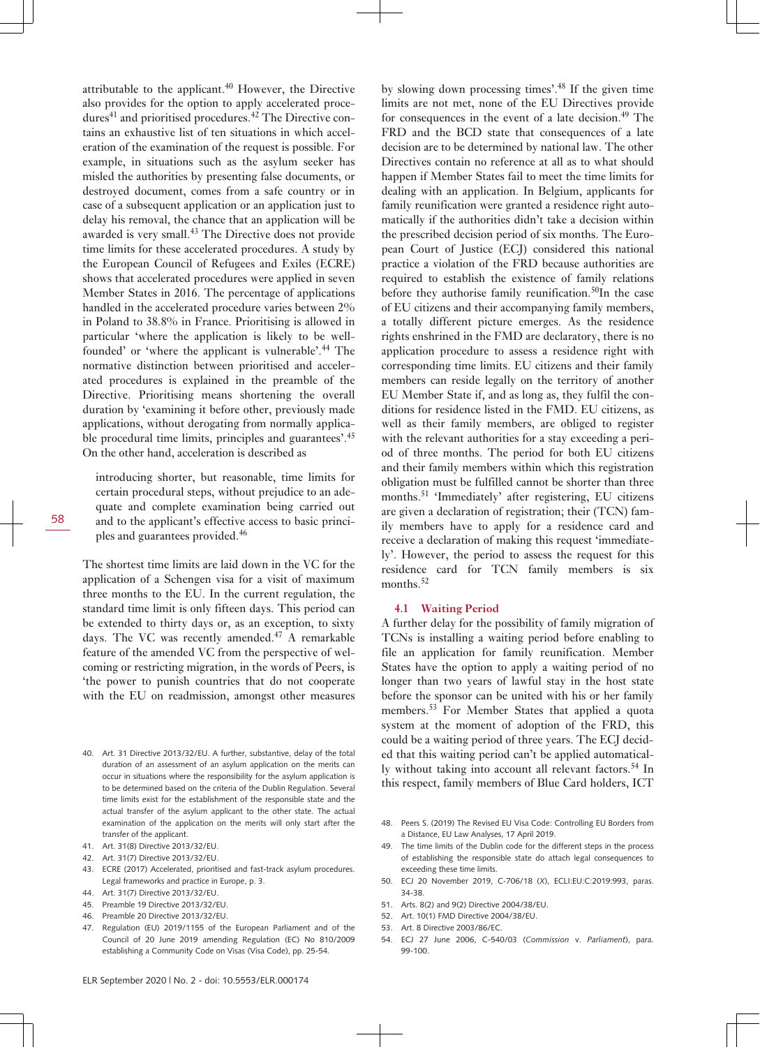attributable to the applicant.<sup>40</sup> However, the Directive also provides for the option to apply accelerated procedures<sup>41</sup> and prioritised procedures.<sup>42</sup> The Directive contains an exhaustive list of ten situations in which acceleration of the examination of the request is possible. For example, in situations such as the asylum seeker has misled the authorities by presenting false documents, or destroyed document, comes from a safe country or in case of a subsequent application or an application just to delay his removal, the chance that an application will be awarded is very small.<sup>43</sup> The Directive does not provide time limits for these accelerated procedures. A study by the European Council of Refugees and Exiles (ECRE) shows that accelerated procedures were applied in seven Member States in 2016. The percentage of applications handled in the accelerated procedure varies between 2% in Poland to 38.8% in France. Prioritising is allowed in particular 'where the application is likely to be wellfounded' or 'where the applicant is vulnerable'.<sup>44</sup> The normative distinction between prioritised and accelerated procedures is explained in the preamble of the Directive. Prioritising means shortening the overall duration by 'examining it before other, previously made applications, without derogating from normally applicable procedural time limits, principles and guarantees'.<sup>45</sup> On the other hand, acceleration is described as

introducing shorter, but reasonable, time limits for certain procedural steps, without prejudice to an adequate and complete examination being carried out and to the applicant's effective access to basic principles and guarantees provided.<sup>46</sup>

The shortest time limits are laid down in the VC for the application of a Schengen visa for a visit of maximum three months to the EU. In the current regulation, the standard time limit is only fifteen days. This period can be extended to thirty days or, as an exception, to sixty days. The VC was recently amended.<sup>47</sup> A remarkable feature of the amended VC from the perspective of welcoming or restricting migration, in the words of Peers, is 'the power to punish countries that do not cooperate with the EU on readmission, amongst other measures

- 40. Art. 31 Directive 2013/32/EU. A further, substantive, delay of the total duration of an assessment of an asylum application on the merits can occur in situations where the responsibility for the asylum application is to be determined based on the criteria of the Dublin Regulation. Several time limits exist for the establishment of the responsible state and the actual transfer of the asylum applicant to the other state. The actual examination of the application on the merits will only start after the transfer of the applicant.
- 41. Art. 31(8) Directive 2013/32/EU.
- 42. Art. 31(7) Directive 2013/32/EU.
- 43. ECRE (2017) Accelerated, prioritised and fast-track asylum procedures. Legal frameworks and practice in Europe, p. 3.
- 44. Art. 31(7) Directive 2013/32/EU.
- 45. Preamble 19 Directive 2013/32/EU.
- 46. Preamble 20 Directive 2013/32/EU.
- 47. Regulation (EU) 2019/1155 of the European Parliament and of the Council of 20 June 2019 amending Regulation (EC) No 810/2009 establishing a Community Code on Visas (Visa Code), pp. 25-54.

by slowing down processing times'.<sup>48</sup> If the given time limits are not met, none of the EU Directives provide for consequences in the event of a late decision. $49$  The FRD and the BCD state that consequences of a late decision are to be determined by national law. The other Directives contain no reference at all as to what should happen if Member States fail to meet the time limits for dealing with an application. In Belgium, applicants for family reunification were granted a residence right automatically if the authorities didn't take a decision within the prescribed decision period of six months. The European Court of Justice (ECJ) considered this national practice a violation of the FRD because authorities are required to establish the existence of family relations before they authorise family reunification.<sup>50</sup>In the case of EU citizens and their accompanying family members, a totally different picture emerges. As the residence rights enshrined in the FMD are declaratory, there is no application procedure to assess a residence right with corresponding time limits. EU citizens and their family members can reside legally on the territory of another EU Member State if, and as long as, they fulfil the conditions for residence listed in the FMD. EU citizens, as well as their family members, are obliged to register with the relevant authorities for a stay exceeding a period of three months. The period for both EU citizens and their family members within which this registration obligation must be fulfilled cannot be shorter than three months.<sup>51</sup> 'Immediately' after registering, EU citizens are given a declaration of registration; their (TCN) family members have to apply for a residence card and receive a declaration of making this request 'immediately'. However, the period to assess the request for this residence card for TCN family members is six months.<sup>52</sup>

#### **4.1 Waiting Period**

A further delay for the possibility of family migration of TCNs is installing a waiting period before enabling to file an application for family reunification. Member States have the option to apply a waiting period of no longer than two years of lawful stay in the host state before the sponsor can be united with his or her family members.<sup>53</sup> For Member States that applied a quota system at the moment of adoption of the FRD, this could be a waiting period of three years. The ECJ decided that this waiting period can't be applied automatically without taking into account all relevant factors.<sup>54</sup> In this respect, family members of Blue Card holders, ICT

- 48. Peers S. (2019) The Revised EU Visa Code: Controlling EU Borders from a Distance, EU Law Analyses, 17 April 2019.
- 49. The time limits of the Dublin code for the different steps in the process of establishing the responsible state do attach legal consequences to exceeding these time limits.
- 50. ECJ 20 November 2019, C-706/18 (*X*), ECLI:EU:C:2019:993, paras. 34-38.
- 51. Arts. 8(2) and 9(2) Directive 2004/38/EU.
- 52. Art. 10(1) FMD Directive 2004/38/EU.
- 53. Art. 8 Directive 2003/86/EC.
- 54. ECJ 27 June 2006, C-540/03 (*Commission* v. *Parliament*), para. 99-100.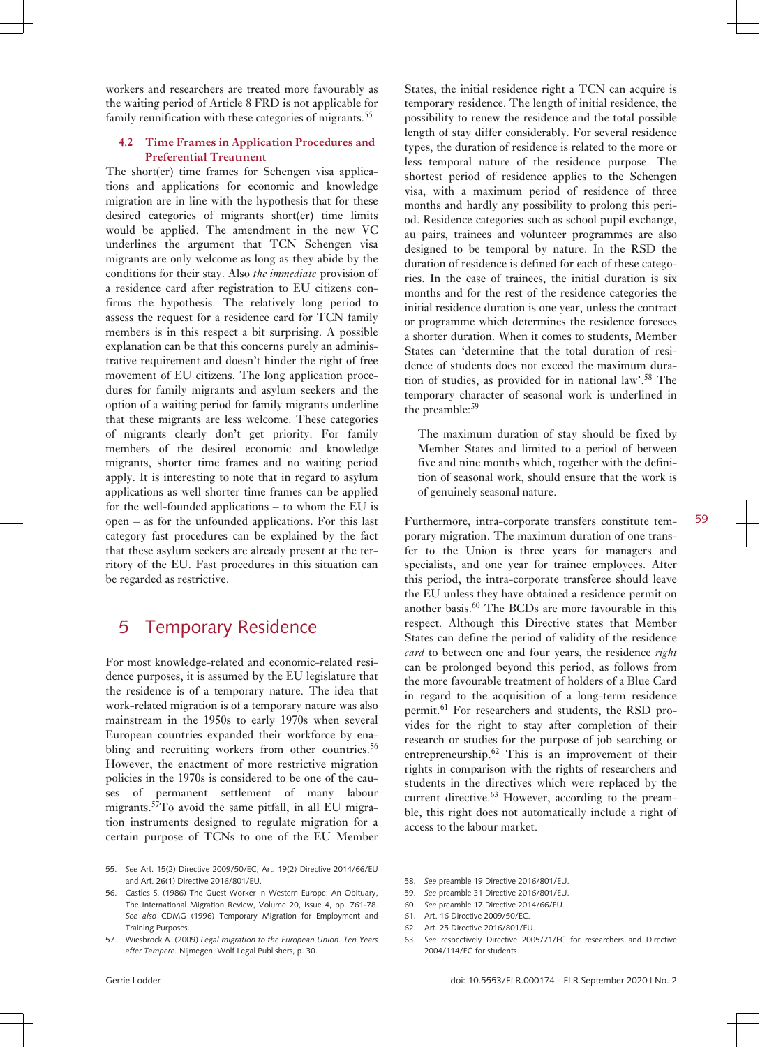workers and researchers are treated more favourably as the waiting period of Article 8 FRD is not applicable for family reunification with these categories of migrants.<sup>55</sup>

### **4.2 Time Frames in Application Procedures and Preferential Treatment**

The short(er) time frames for Schengen visa applications and applications for economic and knowledge migration are in line with the hypothesis that for these desired categories of migrants short(er) time limits would be applied. The amendment in the new VC underlines the argument that TCN Schengen visa migrants are only welcome as long as they abide by the conditions for their stay. Also *the immediate* provision of a residence card after registration to EU citizens confirms the hypothesis. The relatively long period to assess the request for a residence card for TCN family members is in this respect a bit surprising. A possible explanation can be that this concerns purely an administrative requirement and doesn't hinder the right of free movement of EU citizens. The long application procedures for family migrants and asylum seekers and the option of a waiting period for family migrants underline that these migrants are less welcome. These categories of migrants clearly don't get priority. For family members of the desired economic and knowledge migrants, shorter time frames and no waiting period apply. It is interesting to note that in regard to asylum applications as well shorter time frames can be applied for the well-founded applications – to whom the EU is open – as for the unfounded applications. For this last category fast procedures can be explained by the fact that these asylum seekers are already present at the territory of the EU. Fast procedures in this situation can be regarded as restrictive.

### 5 Temporary Residence

For most knowledge-related and economic-related residence purposes, it is assumed by the EU legislature that the residence is of a temporary nature. The idea that work-related migration is of a temporary nature was also mainstream in the 1950s to early 1970s when several European countries expanded their workforce by enabling and recruiting workers from other countries.<sup>56</sup> However, the enactment of more restrictive migration policies in the 1970s is considered to be one of the causes of permanent settlement of many labour migrants.<sup>57</sup>To avoid the same pitfall, in all EU migration instruments designed to regulate migration for a certain purpose of TCNs to one of the EU Member

- 55. *See* Art. 15(2) Directive 2009/50/EC, Art. 19(2) Directive 2014/66/EU and Art. 26(1) Directive 2016/801/EU.
- 56. Castles S. (1986) The Guest Worker in Western Europe: An Obituary, The International Migration Review, Volume 20, Issue 4, pp. 761-78. *See also* CDMG (1996) Temporary Migration for Employment and Training Purposes.
- 57. Wiesbrock A. (2009) *Legal migration to the European Union. Ten Years after Tampere.* Nijmegen: Wolf Legal Publishers, p. 30.

States, the initial residence right a TCN can acquire is temporary residence. The length of initial residence, the possibility to renew the residence and the total possible length of stay differ considerably. For several residence types, the duration of residence is related to the more or less temporal nature of the residence purpose. The shortest period of residence applies to the Schengen visa, with a maximum period of residence of three months and hardly any possibility to prolong this period. Residence categories such as school pupil exchange, au pairs, trainees and volunteer programmes are also designed to be temporal by nature. In the RSD the duration of residence is defined for each of these categories. In the case of trainees, the initial duration is six months and for the rest of the residence categories the initial residence duration is one year, unless the contract or programme which determines the residence foresees a shorter duration. When it comes to students, Member States can 'determine that the total duration of residence of students does not exceed the maximum duration of studies, as provided for in national law'.<sup>58</sup> The temporary character of seasonal work is underlined in the preamble:<sup>59</sup>

The maximum duration of stay should be fixed by Member States and limited to a period of between five and nine months which, together with the definition of seasonal work, should ensure that the work is of genuinely seasonal nature.

Furthermore, intra-corporate transfers constitute temporary migration. The maximum duration of one transfer to the Union is three years for managers and specialists, and one year for trainee employees. After this period, the intra-corporate transferee should leave the EU unless they have obtained a residence permit on another basis.60 The BCDs are more favourable in this respect. Although this Directive states that Member States can define the period of validity of the residence *card* to between one and four years, the residence *right* can be prolonged beyond this period, as follows from the more favourable treatment of holders of a Blue Card in regard to the acquisition of a long-term residence permit.61 For researchers and students, the RSD provides for the right to stay after completion of their research or studies for the purpose of job searching or entrepreneurship.62 This is an improvement of their rights in comparison with the rights of researchers and students in the directives which were replaced by the current directive.<sup>63</sup> However, according to the preamble, this right does not automatically include a right of access to the labour market.

- 58. *See* preamble 19 Directive 2016/801/EU.
- 59. *See* preamble 31 Directive 2016/801/EU.
- 60. *See* preamble 17 Directive 2014/66/EU.
- 61. Art. 16 Directive 2009/50/EC.
- 62. Art. 25 Directive 2016/801/EU.
- 63. *See* respectively Directive 2005/71/EC for researchers and Directive 2004/114/EC for students.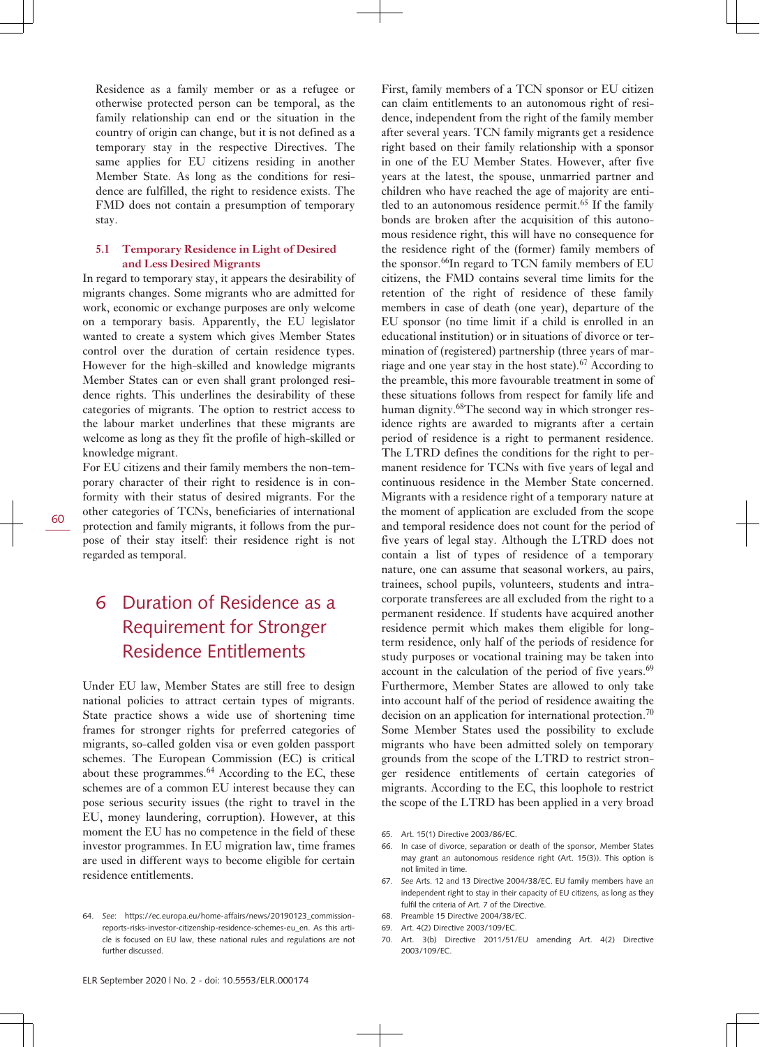Residence as a family member or as a refugee or otherwise protected person can be temporal, as the family relationship can end or the situation in the country of origin can change, but it is not defined as a temporary stay in the respective Directives. The same applies for EU citizens residing in another Member State. As long as the conditions for residence are fulfilled, the right to residence exists. The FMD does not contain a presumption of temporary stay.

#### **5.1 Temporary Residence in Light of Desired and Less Desired Migrants**

In regard to temporary stay, it appears the desirability of migrants changes. Some migrants who are admitted for work, economic or exchange purposes are only welcome on a temporary basis. Apparently, the EU legislator wanted to create a system which gives Member States control over the duration of certain residence types. However for the high-skilled and knowledge migrants Member States can or even shall grant prolonged residence rights. This underlines the desirability of these categories of migrants. The option to restrict access to the labour market underlines that these migrants are welcome as long as they fit the profile of high-skilled or knowledge migrant.

For EU citizens and their family members the non-temporary character of their right to residence is in conformity with their status of desired migrants. For the other categories of TCNs, beneficiaries of international protection and family migrants, it follows from the purpose of their stay itself: their residence right is not regarded as temporal.

# 6 Duration of Residence as a Requirement for Stronger Residence Entitlements

Under EU law, Member States are still free to design national policies to attract certain types of migrants. State practice shows a wide use of shortening time frames for stronger rights for preferred categories of migrants, so-called golden visa or even golden passport schemes. The European Commission (EC) is critical about these programmes.<sup>64</sup> According to the EC, these schemes are of a common EU interest because they can pose serious security issues (the right to travel in the EU, money laundering, corruption). However, at this moment the EU has no competence in the field of these investor programmes. In EU migration law, time frames are used in different ways to become eligible for certain residence entitlements.

First, family members of a TCN sponsor or EU citizen can claim entitlements to an autonomous right of residence, independent from the right of the family member after several years. TCN family migrants get a residence right based on their family relationship with a sponsor in one of the EU Member States. However, after five years at the latest, the spouse, unmarried partner and children who have reached the age of majority are entitled to an autonomous residence permit.<sup>65</sup> If the family bonds are broken after the acquisition of this autonomous residence right, this will have no consequence for the residence right of the (former) family members of the sponsor.<sup>66</sup>In regard to TCN family members of EU citizens, the FMD contains several time limits for the retention of the right of residence of these family members in case of death (one year), departure of the EU sponsor (no time limit if a child is enrolled in an educational institution) or in situations of divorce or termination of (registered) partnership (three years of marriage and one year stay in the host state).<sup>67</sup> According to the preamble, this more favourable treatment in some of these situations follows from respect for family life and human dignity.<sup>68</sup>The second way in which stronger residence rights are awarded to migrants after a certain period of residence is a right to permanent residence. The LTRD defines the conditions for the right to permanent residence for TCNs with five years of legal and continuous residence in the Member State concerned. Migrants with a residence right of a temporary nature at the moment of application are excluded from the scope and temporal residence does not count for the period of five years of legal stay. Although the LTRD does not contain a list of types of residence of a temporary nature, one can assume that seasonal workers, au pairs, trainees, school pupils, volunteers, students and intracorporate transferees are all excluded from the right to a permanent residence. If students have acquired another residence permit which makes them eligible for longterm residence, only half of the periods of residence for study purposes or vocational training may be taken into account in the calculation of the period of five years. $69$ Furthermore, Member States are allowed to only take into account half of the period of residence awaiting the decision on an application for international protection.<sup>70</sup> Some Member States used the possibility to exclude migrants who have been admitted solely on temporary grounds from the scope of the LTRD to restrict stronger residence entitlements of certain categories of migrants. According to the EC, this loophole to restrict the scope of the LTRD has been applied in a very broad

<sup>64.</sup> *See*: [https://ec.europa.eu/home-affairs/news/20190123\\_commission](https://ec.europa.eu/home-affairs/news/20190123_commission-reports-risks-investor-citizenship-residence-schemes-eu_en)[reports-risks-investor-citizenship-residence-schemes-eu\\_en](https://ec.europa.eu/home-affairs/news/20190123_commission-reports-risks-investor-citizenship-residence-schemes-eu_en). As this article is focused on EU law, these national rules and regulations are not further discussed.

<sup>65.</sup> Art. 15(1) Directive 2003/86/EC.

<sup>66.</sup> In case of divorce, separation or death of the sponsor, Member States may grant an autonomous residence right (Art. 15(3)). This option is not limited in time.

<sup>67.</sup> *See* Arts. 12 and 13 Directive 2004/38/EC. EU family members have an independent right to stay in their capacity of EU citizens, as long as they fulfil the criteria of Art. 7 of the Directive.

<sup>68.</sup> Preamble 15 Directive 2004/38/EC.

<sup>69.</sup> Art. 4(2) Directive 2003/109/EC.

<sup>70.</sup> Art. 3(b) Directive 2011/51/EU amending Art. 4(2) Directive 2003/109/EC.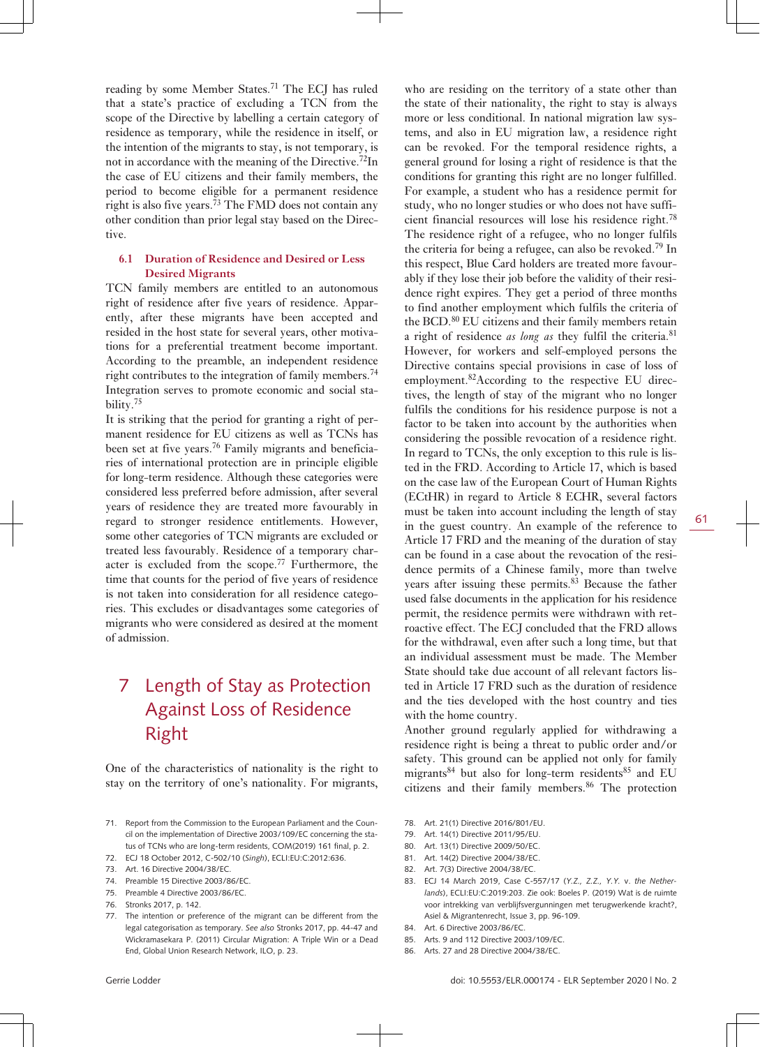reading by some Member States.<sup>71</sup> The ECJ has ruled that a state's practice of excluding a TCN from the scope of the Directive by labelling a certain category of residence as temporary, while the residence in itself, or the intention of the migrants to stay, is not temporary, is not in accordance with the meaning of the Directive.<sup>72</sup>In the case of EU citizens and their family members, the period to become eligible for a permanent residence right is also five years.<sup> $73$ </sup> The FMD does not contain any other condition than prior legal stay based on the Directive.

### **6.1 Duration of Residence and Desired or Less Desired Migrants**

TCN family members are entitled to an autonomous right of residence after five years of residence. Apparently, after these migrants have been accepted and resided in the host state for several years, other motivations for a preferential treatment become important. According to the preamble, an independent residence right contributes to the integration of family members.<sup>74</sup> Integration serves to promote economic and social stability.<sup>75</sup>

It is striking that the period for granting a right of permanent residence for EU citizens as well as TCNs has been set at five years.<sup>76</sup> Family migrants and beneficiaries of international protection are in principle eligible for long-term residence. Although these categories were considered less preferred before admission, after several years of residence they are treated more favourably in regard to stronger residence entitlements. However, some other categories of TCN migrants are excluded or treated less favourably. Residence of a temporary character is excluded from the scope.77 Furthermore, the time that counts for the period of five years of residence is not taken into consideration for all residence categories. This excludes or disadvantages some categories of migrants who were considered as desired at the moment of admission.

# 7 Length of Stay as Protection Against Loss of Residence Right

One of the characteristics of nationality is the right to stay on the territory of one's nationality. For migrants,

- 71. Report from the Commission to the European Parliament and the Council on the implementation of Directive 2003/109/EC concerning the status of TCNs who are long-term residents, COM(2019) 161 final, p. 2.
- 72. ECJ 18 October 2012, C-502/10 (*Singh*), ECLI:EU:C:2012:636.
- 73. Art. 16 Directive 2004/38/EC.
- 74. Preamble 15 Directive 2003/86/EC.
- 75. Preamble 4 Directive 2003/86/EC.
- 76. Stronks 2017, p. 142.
- 77. The intention or preference of the migrant can be different from the legal categorisation as temporary. *See also* Stronks 2017, pp. 44-47 and Wickramasekara P. (2011) Circular Migration: A Triple Win or a Dead End, Global Union Research Network, ILO, p. 23.

who are residing on the territory of a state other than the state of their nationality, the right to stay is always more or less conditional. In national migration law systems, and also in EU migration law, a residence right can be revoked. For the temporal residence rights, a general ground for losing a right of residence is that the conditions for granting this right are no longer fulfilled. For example, a student who has a residence permit for study, who no longer studies or who does not have sufficient financial resources will lose his residence right.<sup>78</sup> The residence right of a refugee, who no longer fulfils the criteria for being a refugee, can also be revoked.<sup>79</sup> In this respect, Blue Card holders are treated more favourably if they lose their job before the validity of their residence right expires. They get a period of three months to find another employment which fulfils the criteria of the BCD.<sup>80</sup> EU citizens and their family members retain a right of residence *as long as* they fulfil the criteria.<sup>81</sup> However, for workers and self-employed persons the Directive contains special provisions in case of loss of employment.82According to the respective EU directives, the length of stay of the migrant who no longer fulfils the conditions for his residence purpose is not a factor to be taken into account by the authorities when considering the possible revocation of a residence right. In regard to TCNs, the only exception to this rule is listed in the FRD. According to Article 17, which is based on the case law of the European Court of Human Rights (ECtHR) in regard to Article 8 ECHR, several factors must be taken into account including the length of stay in the guest country. An example of the reference to Article 17 FRD and the meaning of the duration of stay can be found in a case about the revocation of the residence permits of a Chinese family, more than twelve years after issuing these permits.<sup>83</sup> Because the father used false documents in the application for his residence permit, the residence permits were withdrawn with retroactive effect. The ECJ concluded that the FRD allows for the withdrawal, even after such a long time, but that an individual assessment must be made. The Member State should take due account of all relevant factors listed in Article 17 FRD such as the duration of residence and the ties developed with the host country and ties with the home country.

Another ground regularly applied for withdrawing a residence right is being a threat to public order and/or safety. This ground can be applied not only for family migrants $84$  but also for long-term residents $85$  and EU citizens and their family members.<sup>86</sup> The protection

- 78. Art. 21(1) Directive 2016/801/EU.
- 79. Art. 14(1) Directive 2011/95/EU.
- 80. Art. 13(1) Directive 2009/50/EC.
- 81. Art. 14(2) Directive 2004/38/EC.
- 82. Art. 7(3) Directive 2004/38/EC
- 83. ECJ 14 March 2019, Case C-557/17 (*Y.Z., Z.Z., Y.Y.* v. *the Netherlands*), ECLI:EU:C:2019:203. Zie ook: Boeles P. (2019) Wat is de ruimte voor intrekking van verblijfsvergunningen met terugwerkende kracht?, Asiel & Migrantenrecht, Issue 3, pp. 96-109.
- 84. Art. 6 Directive 2003/86/EC.
- 85. Arts. 9 and 112 Directive 2003/109/EC.
- 86. Arts. 27 and 28 Directive 2004/38/EC.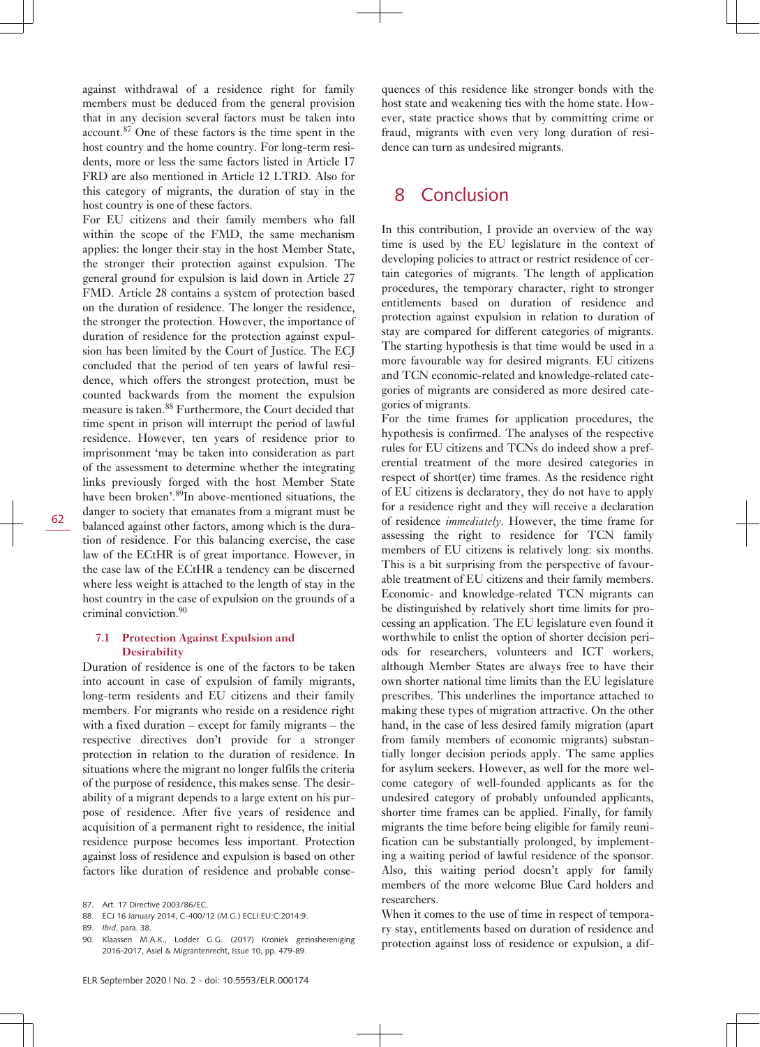against withdrawal of a residence right for family members must be deduced from the general provision that in any decision several factors must be taken into account.<sup>87</sup> One of these factors is the time spent in the host country and the home country. For long-term residents, more or less the same factors listed in Article 17 FRD are also mentioned in Article 12 LTRD. Also for this category of migrants, the duration of stay in the host country is one of these factors.

For EU citizens and their family members who fall within the scope of the FMD, the same mechanism applies: the longer their stay in the host Member State, the stronger their protection against expulsion. The general ground for expulsion is laid down in Article 27 FMD. Article 28 contains a system of protection based on the duration of residence. The longer the residence, the stronger the protection. However, the importance of duration of residence for the protection against expulsion has been limited by the Court of Justice. The ECJ concluded that the period of ten years of lawful residence, which offers the strongest protection, must be counted backwards from the moment the expulsion measure is taken.<sup>88</sup> Furthermore, the Court decided that time spent in prison will interrupt the period of lawful residence. However, ten years of residence prior to imprisonment 'may be taken into consideration as part of the assessment to determine whether the integrating links previously forged with the host Member State have been broken'.<sup>89</sup>In above-mentioned situations, the danger to society that emanates from a migrant must be balanced against other factors, among which is the duration of residence. For this balancing exercise, the case law of the ECtHR is of great importance. However, in the case law of the ECtHR a tendency can be discerned where less weight is attached to the length of stay in the host country in the case of expulsion on the grounds of a criminal conviction.<sup>90</sup>

#### **7.1 Protection Against Expulsion and Desirability**

Duration of residence is one of the factors to be taken into account in case of expulsion of family migrants, long-term residents and EU citizens and their family members. For migrants who reside on a residence right with a fixed duration – except for family migrants – the respective directives don't provide for a stronger protection in relation to the duration of residence. In situations where the migrant no longer fulfils the criteria of the purpose of residence, this makes sense. The desirability of a migrant depends to a large extent on his purpose of residence. After five years of residence and acquisition of a permanent right to residence, the initial residence purpose becomes less important. Protection against loss of residence and expulsion is based on other factors like duration of residence and probable conse-

quences of this residence like stronger bonds with the host state and weakening ties with the home state. However, state practice shows that by committing crime or fraud, migrants with even very long duration of residence can turn as undesired migrants.

### 8 Conclusion

In this contribution, I provide an overview of the way time is used by the EU legislature in the context of developing policies to attract or restrict residence of certain categories of migrants. The length of application procedures, the temporary character, right to stronger entitlements based on duration of residence and protection against expulsion in relation to duration of stay are compared for different categories of migrants. The starting hypothesis is that time would be used in a more favourable way for desired migrants. EU citizens and TCN economic-related and knowledge-related categories of migrants are considered as more desired categories of migrants.

For the time frames for application procedures, the hypothesis is confirmed. The analyses of the respective rules for EU citizens and TCNs do indeed show a preferential treatment of the more desired categories in respect of short(er) time frames. As the residence right of EU citizens is declaratory, they do not have to apply for a residence right and they will receive a declaration of residence *immediately*. However, the time frame for assessing the right to residence for TCN family members of EU citizens is relatively long: six months. This is a bit surprising from the perspective of favourable treatment of EU citizens and their family members. Economic- and knowledge-related TCN migrants can be distinguished by relatively short time limits for processing an application. The EU legislature even found it worthwhile to enlist the option of shorter decision periods for researchers, volunteers and ICT workers, although Member States are always free to have their own shorter national time limits than the EU legislature prescribes. This underlines the importance attached to making these types of migration attractive. On the other hand, in the case of less desired family migration (apart from family members of economic migrants) substantially longer decision periods apply. The same applies for asylum seekers. However, as well for the more welcome category of well-founded applicants as for the undesired category of probably unfounded applicants, shorter time frames can be applied. Finally, for family migrants the time before being eligible for family reunification can be substantially prolonged, by implementing a waiting period of lawful residence of the sponsor. Also, this waiting period doesn't apply for family members of the more welcome Blue Card holders and researchers.

When it comes to the use of time in respect of temporary stay, entitlements based on duration of residence and protection against loss of residence or expulsion, a dif-

<sup>87.</sup> Art. 17 Directive 2003/86/EC.

<sup>88.</sup> ECJ 16 January 2014, C-400/12 (*M.G.*) ECLI:EU:C:2014:9.

<sup>89.</sup> *Ibid*, para. 38.

<sup>90.</sup> Klaassen M.A.K., Lodder G.G. (2017) Kroniek gezinshereniging 2016-2017, Asiel & Migrantenrecht, Issue 10, pp. 479-89.